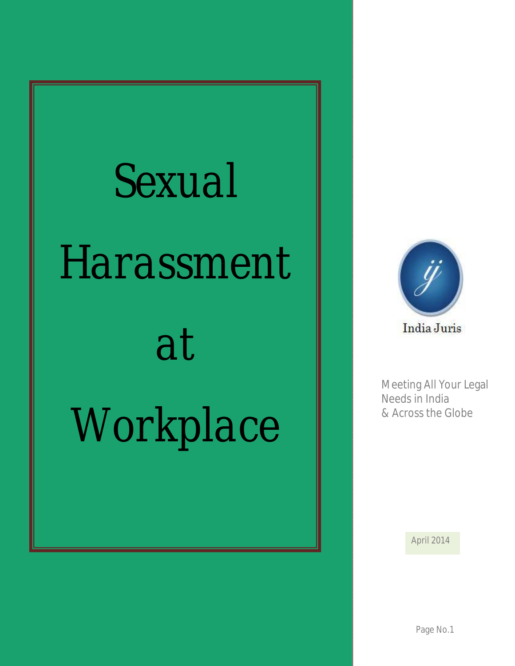# *Sexual Harassment*

## *at*

## *Workplace*



Meeting All Your Legal Needs in India & Across the Globe

April 2014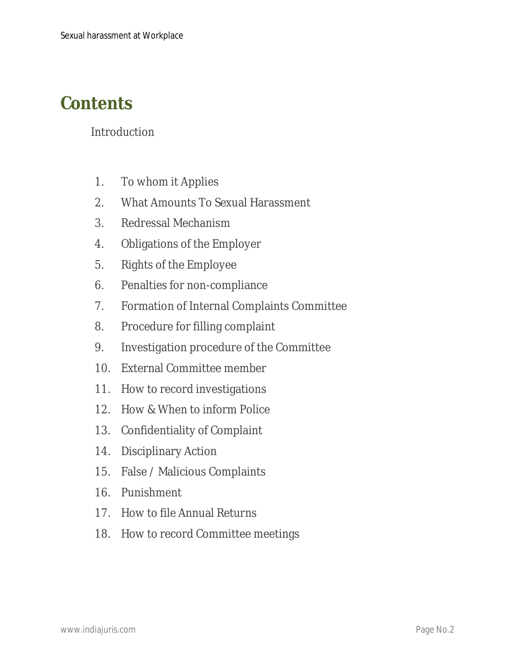### **Contents**

Introduction

- 1. To whom it Applies
- 2. What Amounts To Sexual Harassment
- 3. Redressal Mechanism
- 4. Obligations of the Employer
- 5. Rights of the Employee
- 6. Penalties for non-compliance
- 7. Formation of Internal Complaints Committee
- 8. Procedure for filling complaint
- 9. Investigation procedure of the Committee
- 10. External Committee member
- 11. How to record investigations
- 12. How & When to inform Police
- 13. Confidentiality of Complaint
- 14. Disciplinary Action
- 15. False / Malicious Complaints
- 16. Punishment
- 17. How to file Annual Returns
- 18. How to record Committee meetings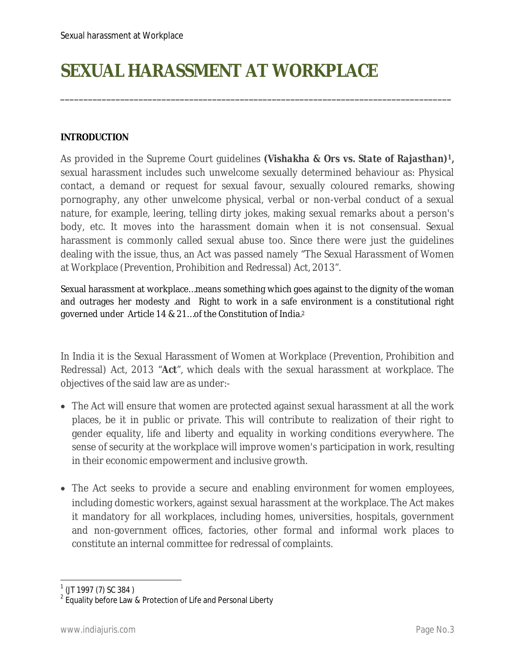### **SEXUAL HARASSMENT AT WORKPLACE**

#### **INTRODUCTION**

As provided in the Supreme Court guidelines *(Vishakha & Ors vs. State of Rajasthan)1,* sexual harassment includes such unwelcome sexually determined behaviour as: Physical contact, a demand or request for sexual favour, sexually coloured remarks, showing pornography, any other unwelcome physical, verbal or non-verbal conduct of a sexual nature, for example, leering, telling dirty jokes, making sexual remarks about a person's body, etc. It moves into the harassment domain when it is not consensual. Sexual harassment is commonly called sexual abuse too. Since there were just the guidelines dealing with the issue, thus, an Act was passed namely "The Sexual Harassment of Women at Workplace (Prevention, Prohibition and Redressal) Act, 2013".

\_\_\_\_\_\_\_\_\_\_\_\_\_\_\_\_\_\_\_\_\_\_\_\_\_\_\_\_\_\_\_\_\_\_\_\_\_\_\_\_\_\_\_\_\_\_\_\_\_\_\_\_\_\_\_\_\_\_\_\_\_\_\_\_\_\_\_\_\_\_\_\_\_\_\_\_\_\_\_\_\_\_\_\_\_

Sexual harassment at workplace…means something which goes against to the dignity of the woman and outrages her modesty .and Right to work in a safe environment is a constitutional right governed under Article 14 & 21…of the Constitution of India.<sup>2</sup>

In India it is the Sexual Harassment of Women at Workplace (Prevention, Prohibition and Redressal) Act, 2013 "**Act**", which deals with the sexual harassment at workplace. The objectives of the said law are as under:-

- The Act will ensure that women are protected against sexual harassment at all the work places, be it in public or private. This will contribute to realization of their right to gender equality, life and liberty and equality in working conditions everywhere. The sense of security at the workplace will improve women's participation in work, resulting in their economic empowerment and inclusive growth.
- The Act seeks to provide a secure and enabling environment for women employees, including domestic workers, against sexual harassment at the workplace. The Act makes it mandatory for all workplaces, including homes, universities, hospitals, government and non-government offices, factories, other formal and informal work places to constitute an internal committee for redressal of complaints.

 $\overline{\phantom{a}}$ 

<sup>&</sup>lt;sup>1</sup> (JT 1997 (7) SC 384 )

 $^{\rm 2}$  Equality before Law & Protection of Life and Personal Liberty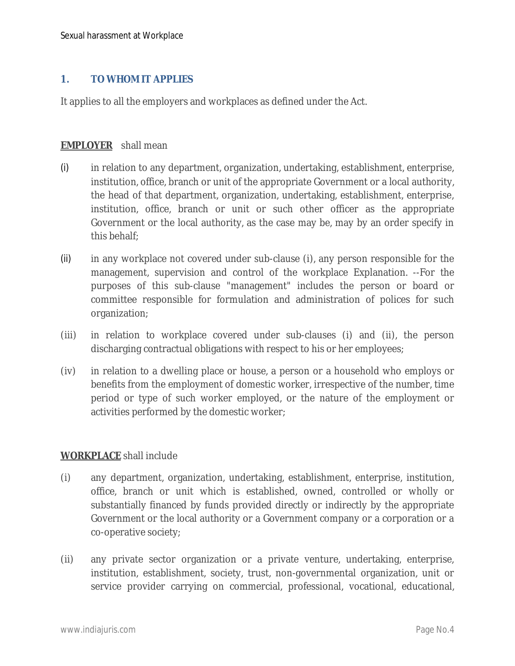#### **1. TO WHOM IT APPLIES**

It applies to all the employers and workplaces as defined under the Act.

#### **EMPLOYER** shall mean

- (i) in relation to any department, organization, undertaking, establishment, enterprise, institution, office, branch or unit of the appropriate Government or a local authority, the head of that department, organization, undertaking, establishment, enterprise, institution, office, branch or unit or such other officer as the appropriate Government or the local authority, as the case may be, may by an order specify in this behalf;
- (ii) in any workplace not covered under sub-clause (i), any person responsible for the management, supervision and control of the workplace Explanation. --For the purposes of this sub-clause "management" includes the person or board or committee responsible for formulation and administration of polices for such organization;
- (iii) in relation to workplace covered under sub-clauses (i) and (ii), the person discharging contractual obligations with respect to his or her employees;
- (iv) in relation to a dwelling place or house, a person or a household who employs or benefits from the employment of domestic worker, irrespective of the number, time period or type of such worker employed, or the nature of the employment or activities performed by the domestic worker;

#### **WORKPLACE** shall include

- (i) any department, organization, undertaking, establishment, enterprise, institution, office, branch or unit which is established, owned, controlled or wholly or substantially financed by funds provided directly or indirectly by the appropriate Government or the local authority or a Government company or a corporation or a co-operative society;
- (ii) any private sector organization or a private venture, undertaking, enterprise, institution, establishment, society, trust, non-governmental organization, unit or service provider carrying on commercial, professional, vocational, educational,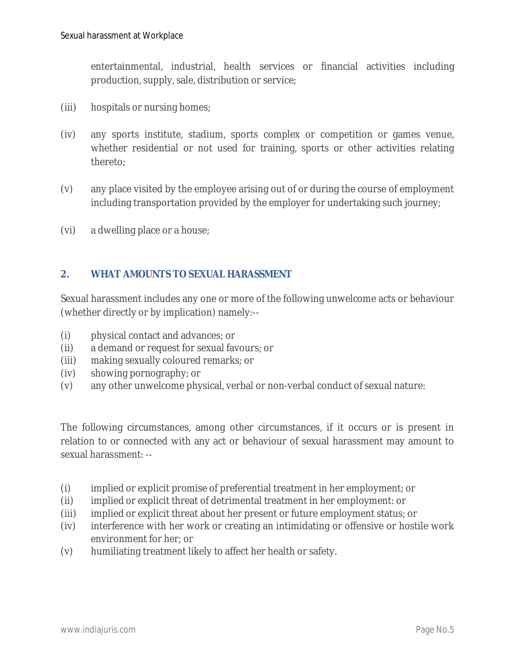entertainmental, industrial, health services or financial activities including production, supply, sale, distribution or service;

- (iii) hospitals or nursing homes;
- (iv) any sports institute, stadium, sports complex or competition or games venue, whether residential or not used for training, sports or other activities relating thereto;
- (v) any place visited by the employee arising out of or during the course of employment including transportation provided by the employer for undertaking such journey;
- (vi) a dwelling place or a house;

#### **2. WHAT AMOUNTS TO SEXUAL HARASSMENT**

Sexual harassment includes any one or more of the following unwelcome acts or behaviour (whether directly or by implication) namely:--

- (i) physical contact and advances; or
- (ii) a demand or request for sexual favours; or
- (iii) making sexually coloured remarks; or
- (iv) showing pornography; or
- (v) any other unwelcome physical, verbal or non-verbal conduct of sexual nature:

The following circumstances, among other circumstances, if it occurs or is present in relation to or connected with any act or behaviour of sexual harassment may amount to sexual harassment: --

- (i) implied or explicit promise of preferential treatment in her employment; or
- (ii) implied or explicit threat of detrimental treatment in her employment: or
- (iii) implied or explicit threat about her present or future employment status; or
- (iv) interference with her work or creating an intimidating or offensive or hostile work environment for her; or
- (v) humiliating treatment likely to affect her health or safety.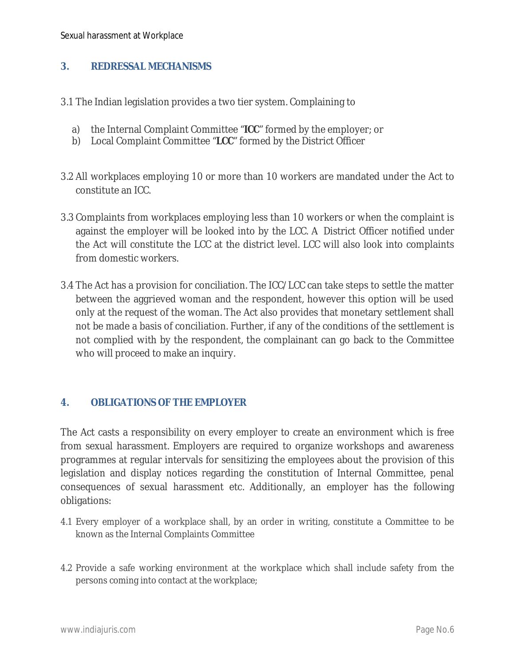#### **3. REDRESSAL MECHANISMS**

- 3.1 The Indian legislation provides a two tier system. Complaining to
	- a) the Internal Complaint Committee "**ICC**" formed by the employer; or
	- b) Local Complaint Committee "**LCC**" formed by the District Officer
- 3.2 All workplaces employing 10 or more than 10 workers are mandated under the Act to constitute an ICC.
- 3.3 Complaints from workplaces employing less than 10 workers or when the complaint is against the employer will be looked into by the LCC. A District Officer notified under the Act will constitute the LCC at the district level. LCC will also look into complaints from domestic workers.
- 3.4 The Act has a provision for conciliation. The ICC/LCC can take steps to settle the matter between the aggrieved woman and the respondent, however this option will be used only at the request of the woman. The Act also provides that monetary settlement shall not be made a basis of conciliation. Further, if any of the conditions of the settlement is not complied with by the respondent, the complainant can go back to the Committee who will proceed to make an inquiry.

#### **4. OBLIGATIONS OF THE EMPLOYER**

The Act casts a responsibility on every employer to create an environment which is free from sexual harassment. Employers are required to organize workshops and awareness programmes at regular intervals for sensitizing the employees about the provision of this legislation and display notices regarding the constitution of Internal Committee, penal consequences of sexual harassment etc. Additionally, an employer has the following obligations:

- 4.1 Every employer of a workplace shall, by an order in writing, constitute a Committee to be known as the Internal Complaints Committee
- 4.2 Provide a safe working environment at the workplace which shall include safety from the persons coming into contact at the workplace;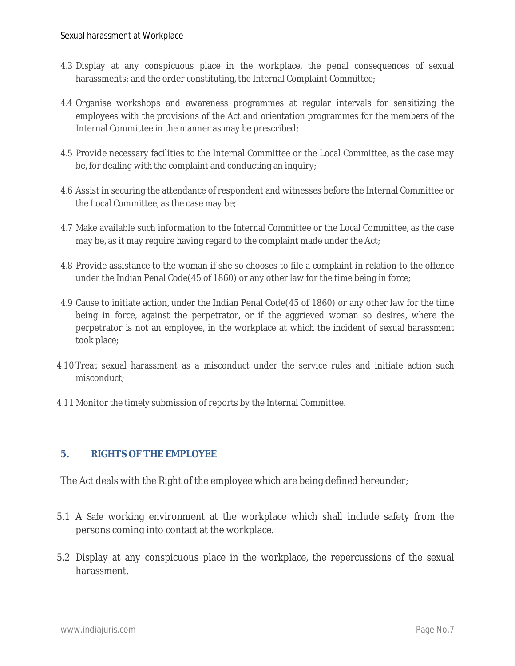- 4.3 Display at any conspicuous place in the workplace, the penal consequences of sexual harassments: and the order constituting, the Internal Complaint Committee;
- 4.4 Organise workshops and awareness programmes at regular intervals for sensitizing the employees with the provisions of the Act and orientation programmes for the members of the Internal Committee in the manner as may be prescribed;
- 4.5 Provide necessary facilities to the Internal Committee or the Local Committee, as the case may be, for dealing with the complaint and conducting an inquiry;
- 4.6 Assist in securing the attendance of respondent and witnesses before the Internal Committee or the Local Committee, as the case may be;
- 4.7 Make available such information to the Internal Committee or the Local Committee, as the case may be, as it may require having regard to the complaint made under the Act;
- 4.8 Provide assistance to the woman if she so chooses to file a complaint in relation to the offence under the Indian Penal Code(45 of 1860) or any other law for the time being in force;
- 4.9 Cause to initiate action, under the Indian Penal Code(45 of 1860) or any other law for the time being in force, against the perpetrator, or if the aggrieved woman so desires, where the perpetrator is not an employee, in the workplace at which the incident of sexual harassment took place;
- 4.10 Treat sexual harassment as a misconduct under the service rules and initiate action such misconduct;
- 4.11 Monitor the timely submission of reports by the Internal Committee.

#### **5. RIGHTS OF THE EMPLOYEE**

The Act deals with the Right of the employee which are being defined hereunder;

- 5.1 A Safe working environment at the workplace which shall include safety from the persons coming into contact at the workplace.
- 5.2 Display at any conspicuous place in the workplace, the repercussions of the sexual harassment.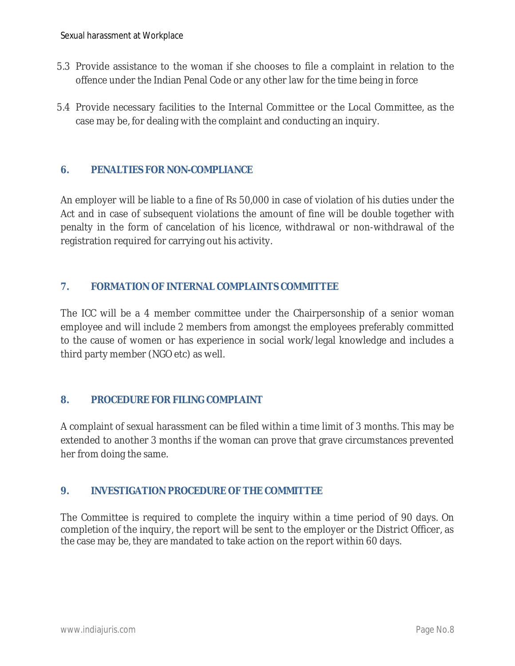- 5.3 Provide assistance to the woman if she chooses to file a complaint in relation to the offence under the Indian Penal Code or any other law for the time being in force
- 5.4 Provide necessary facilities to the Internal Committee or the Local Committee, as the case may be, for dealing with the complaint and conducting an inquiry.

#### **6. PENALTIES FOR NON-COMPLIANCE**

An employer will be liable to a fine of Rs 50,000 in case of violation of his duties under the Act and in case of subsequent violations the amount of fine will be double together with penalty in the form of cancelation of his licence, withdrawal or non-withdrawal of the registration required for carrying out his activity.

#### **7. FORMATION OF INTERNAL COMPLAINTS COMMITTEE**

The ICC will be a 4 member committee under the Chairpersonship of a senior woman employee and will include 2 members from amongst the employees preferably committed to the cause of women or has experience in social work/legal knowledge and includes a third party member (NGO etc) as well.

#### **8. PROCEDURE FOR FILING COMPLAINT**

A complaint of sexual harassment can be filed within a time limit of 3 months. This may be extended to another 3 months if the woman can prove that grave circumstances prevented her from doing the same.

#### **9. INVESTIGATION PROCEDURE OF THE COMMITTEE**

The Committee is required to complete the inquiry within a time period of 90 days. On completion of the inquiry, the report will be sent to the employer or the District Officer, as the case may be, they are mandated to take action on the report within 60 days.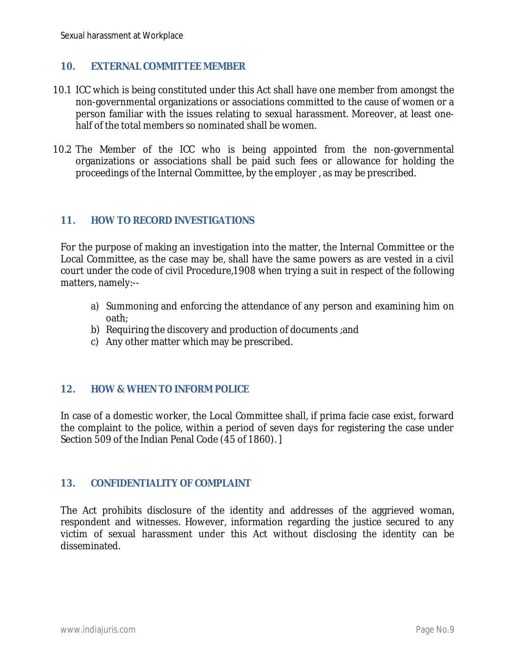#### **10. EXTERNAL COMMITTEE MEMBER**

- 10.1 ICC which is being constituted under this Act shall have one member from amongst the non-governmental organizations or associations committed to the cause of women or a person familiar with the issues relating to sexual harassment. Moreover, at least onehalf of the total members so nominated shall be women.
- 10.2 The Member of the ICC who is being appointed from the non-governmental organizations or associations shall be paid such fees or allowance for holding the proceedings of the Internal Committee, by the employer , as may be prescribed.

#### **11. HOW TO RECORD INVESTIGATIONS**

For the purpose of making an investigation into the matter, the Internal Committee or the Local Committee, as the case may be, shall have the same powers as are vested in a civil court under the code of civil Procedure,1908 when trying a suit in respect of the following matters, namely:--

- a) Summoning and enforcing the attendance of any person and examining him on oath;
- b) Requiring the discovery and production of documents ;and
- c) Any other matter which may be prescribed.

#### **12. HOW & WHEN TO INFORM POLICE**

In case of a domestic worker, the Local Committee shall, if prima facie case exist, forward the complaint to the police, within a period of seven days for registering the case under Section 509 of the Indian Penal Code (45 of 1860). ]

#### **13. CONFIDENTIALITY OF COMPLAINT**

The Act prohibits disclosure of the identity and addresses of the aggrieved woman, respondent and witnesses. However, information regarding the justice secured to any victim of sexual harassment under this Act without disclosing the identity can be disseminated.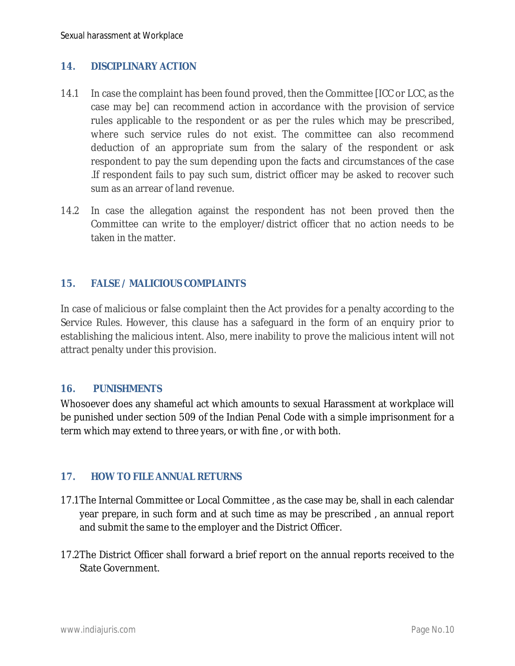#### **14. DISCIPLINARY ACTION**

- 14.1 In case the complaint has been found proved, then the Committee [ICC or LCC, as the case may be] can recommend action in accordance with the provision of service rules applicable to the respondent or as per the rules which may be prescribed, where such service rules do not exist. The committee can also recommend deduction of an appropriate sum from the salary of the respondent or ask respondent to pay the sum depending upon the facts and circumstances of the case .If respondent fails to pay such sum, district officer may be asked to recover such sum as an arrear of land revenue.
- 14.2 In case the allegation against the respondent has not been proved then the Committee can write to the employer/district officer that no action needs to be taken in the matter.

#### **15. FALSE / MALICIOUS COMPLAINTS**

In case of malicious or false complaint then the Act provides for a penalty according to the Service Rules. However, this clause has a safeguard in the form of an enquiry prior to establishing the malicious intent. Also, mere inability to prove the malicious intent will not attract penalty under this provision.

#### **16. PUNISHMENTS**

Whosoever does any shameful act which amounts to sexual Harassment at workplace will be punished under section 509 of the Indian Penal Code with a simple imprisonment for a term which may extend to three years, or with fine , or with both.

#### **17. HOW TO FILE ANNUAL RETURNS**

- 17.1The Internal Committee or Local Committee , as the case may be, shall in each calendar year prepare, in such form and at such time as may be prescribed , an annual report and submit the same to the employer and the District Officer.
- 17.2The District Officer shall forward a brief report on the annual reports received to the State Government.